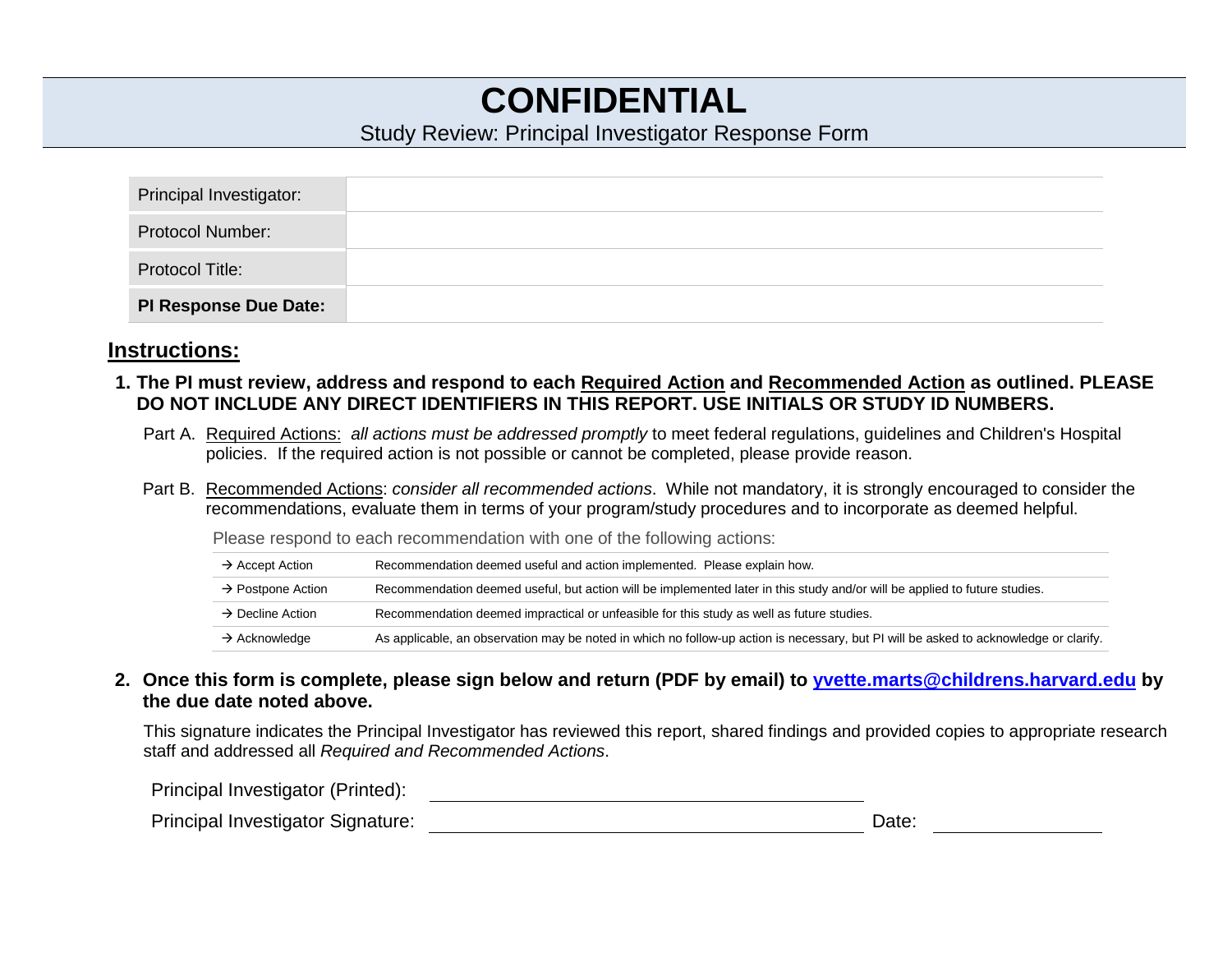# **CONFIDENTIAL**

#### Study Review: Principal Investigator Response Form

| Principal Investigator:      |  |
|------------------------------|--|
| <b>Protocol Number:</b>      |  |
| <b>Protocol Title:</b>       |  |
| <b>PI Response Due Date:</b> |  |

#### **Instructions:**

- **1. The PI must review, address and respond to each Required Action and Recommended Action as outlined. PLEASE DO NOT INCLUDE ANY DIRECT IDENTIFIERS IN THIS REPORT. USE INITIALS OR STUDY ID NUMBERS.**
	- Part A. Required Actions: *all actions must be addressed promptly* to meet federal regulations, guidelines and Children's Hospital policies. If the required action is not possible or cannot be completed, please provide reason.
	- Part B. Recommended Actions: *consider all recommended actions*. While not mandatory, it is strongly encouraged to consider the recommendations, evaluate them in terms of your program/study procedures and to incorporate as deemed helpful.

Please respond to each recommendation with one of the following actions:

| $\rightarrow$ Accept Action   | Recommendation deemed useful and action implemented. Please explain how.                                                              |
|-------------------------------|---------------------------------------------------------------------------------------------------------------------------------------|
| $\rightarrow$ Postpone Action | Recommendation deemed useful, but action will be implemented later in this study and/or will be applied to future studies.            |
| $\rightarrow$ Decline Action  | Recommendation deemed impractical or unfeasible for this study as well as future studies.                                             |
| $\rightarrow$ Acknowledge     | As applicable, an observation may be noted in which no follow-up action is necessary, but PI will be asked to acknowledge or clarify. |

**2. Once this form is complete, please sign below and return (PDF by email) to [yvette.marts@childrens.harvard.edu](mailto:yvette.marts@childrens.harvard.edu) by the due date noted above.** 

This signature indicates the Principal Investigator has reviewed this report, shared findings and provided copies to appropriate research staff and addressed all *Required and Recommended Actions*.

Principal Investigator (Printed):

| Principal Investigator Signature: | Date: |
|-----------------------------------|-------|
|-----------------------------------|-------|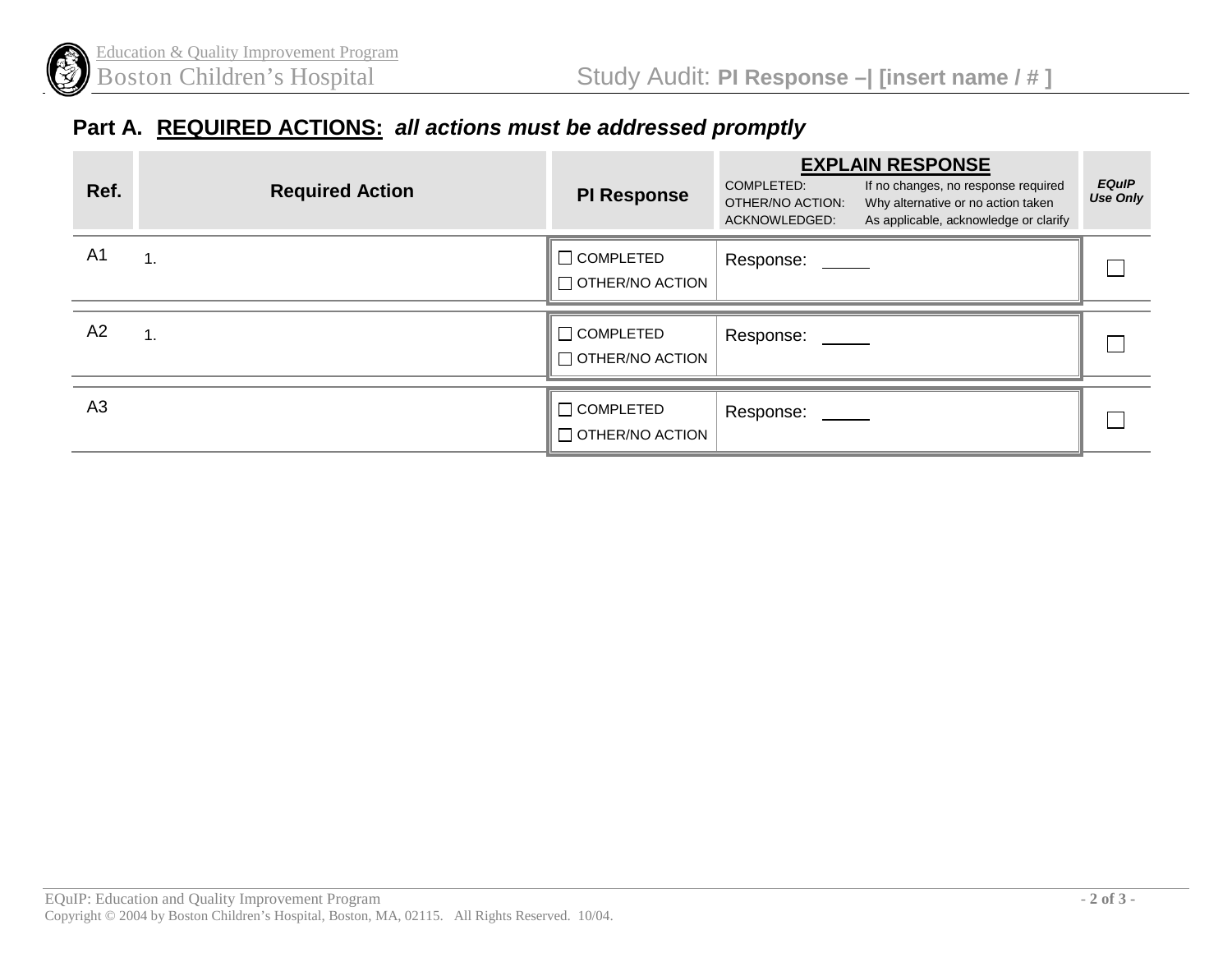

## **Part A. REQUIRED ACTIONS:** *all actions must be addressed promptly*

| Ref.           | <b>Required Action</b> | <b>PI Response</b>                         | <b>EXPLAIN RESPONSE</b><br>COMPLETED:<br>If no changes, no response required<br>OTHER/NO ACTION:<br>Why alternative or no action taken<br>ACKNOWLEDGED:<br>As applicable, acknowledge or clarify | <b>EQuIP</b><br><b>Use Only</b> |
|----------------|------------------------|--------------------------------------------|--------------------------------------------------------------------------------------------------------------------------------------------------------------------------------------------------|---------------------------------|
| A <sub>1</sub> | 1.                     | $\Box$ COMPLETED<br>$\Box$ OTHER/NO ACTION | Response: _____                                                                                                                                                                                  |                                 |
| A2             | 1.                     | $\Box$ COMPLETED<br>$\Box$ OTHER/NO ACTION | Response:                                                                                                                                                                                        |                                 |
| A <sub>3</sub> |                        | $\Box$ COMPLETED<br>$\Box$ OTHER/NO ACTION | Response: _____                                                                                                                                                                                  |                                 |